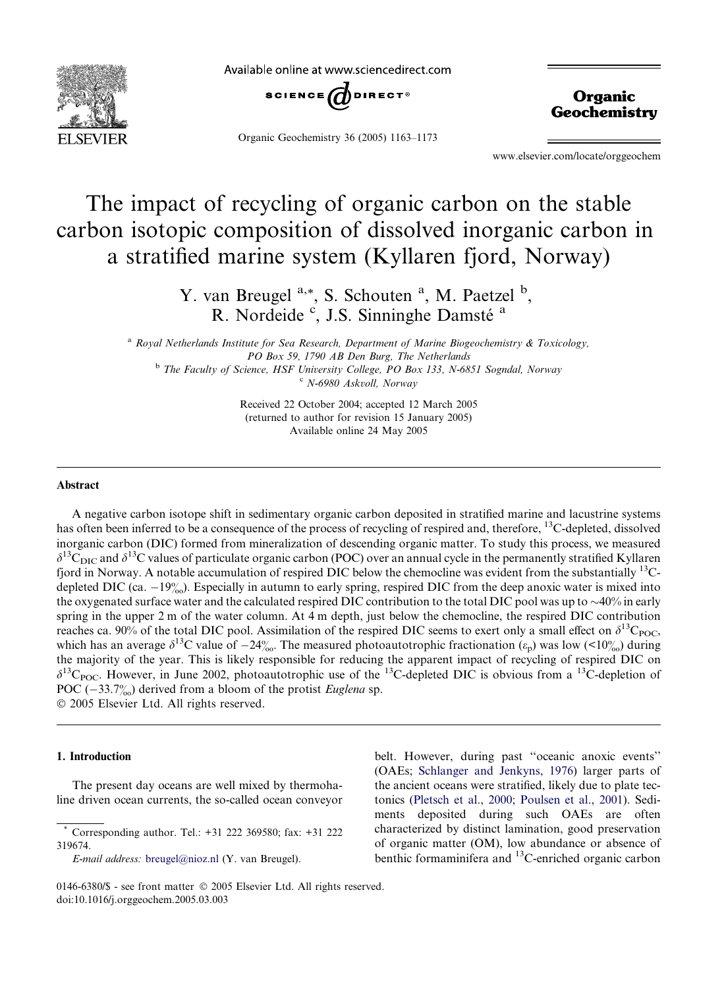

Available online at www.sciencedirect.com



Organic Geochemistry 36 (2005) 1163–1173

**Organic Geochemistry** 

www.elsevier.com/locate/orggeochem

# The impact of recycling of organic carbon on the stable carbon isotopic composition of dissolved inorganic carbon in a stratified marine system (Kyllaren fjord, Norway)

Y. van Breugel <sup>a,\*</sup>, S. Schouten <sup>a</sup>, M. Paetzel <sup>b</sup>, R. Nordeide <sup>c</sup>, J.S. Sinninghe Damsté<sup>a</sup>

 $a$  Royal Netherlands Institute for Sea Research, Department of Marine Biogeochemistry & Toxicology, PO Box 59, 1790 AB Den Burg, The Netherlands <sup>b</sup> The Faculty of Science, HSF University College, PO Box 133, N-6851 Sogndal, Norway <sup>c</sup> N-6980 Askvoll, Norway

> Received 22 October 2004; accepted 12 March 2005 (returned to author for revision 15 January 2005) Available online 24 May 2005

### Abstract

A negative carbon isotope shift in sedimentary organic carbon deposited in stratified marine and lacustrine systems has often been inferred to be a consequence of the process of recycling of respired and, therefore, <sup>13</sup>C-depleted, dissolved inorganic carbon (DIC) formed from mineralization of descending organic matter. To study this process, we measured  $\delta^{13}$ C values of particulate organic carbon (POC) over an annual cycle in the permanently stratified Kyllaren fjord in Norway. A notable accumulation of respired DIC below the chemocline was evident from the substantially <sup>13</sup>Cdepleted DIC (ca.  $-19\%$ ). Especially in autumn to early spring, respired DIC from the deep anoxic water is mixed into the oxygenated surface water and the calculated respired DIC contribution to the total DIC pool was up to  $\sim$ 40% in early spring in the upper 2 m of the water column. At 4 m depth, just below the chemocline, the respired DIC contribution reaches ca. 90% of the total DIC pool. Assimilation of the respired DIC seems to exert only a small effect on  $\delta^{13}C_{\text{POC}}$ , which has an average  $\delta^{13}$ C value of  $-24\%$ . The measured photoautotrophic fractionation  $(\epsilon_p)$  was low (<10%) during the majority of the year. This is likely responsible for reducing the apparent impact of recycling of respired DIC on  $\delta^{13}C_{\text{POC}}$ . However, in June 2002, photoautotrophic use of the <sup>13</sup>C-depleted DIC is obvious from a <sup>13</sup>C-depletion of POC ( $-33.7\%$ ) derived from a bloom of the protist Euglena sp.

2005 Elsevier Ltd. All rights reserved.

#### 1. Introduction

The present day oceans are well mixed by thermohaline driven ocean currents, the so-called ocean conveyor belt. However, during past ''oceanic anoxic events'' (OAEs; [Schlanger and Jenkyns, 1976\)](#page-10-0) larger parts of the ancient oceans were stratified, likely due to plate tectonics ([Pletsch et al., 2000; Poulsen et al., 2001\)](#page-9-0). Sediments deposited during such OAEs are often characterized by distinct lamination, good preservation of organic matter (OM), low abundance or absence of benthic formaminifera and 13C-enriched organic carbon

<sup>\*</sup> Corresponding author. Tel.: +31 222 369580; fax: +31 222 319674.

E-mail address: [breugel@nioz.nl](mailto:breugel@nioz.nl) (Y. van Breugel).

<sup>0146-6380/\$ -</sup> see front matter © 2005 Elsevier Ltd. All rights reserved. doi:10.1016/j.orggeochem.2005.03.003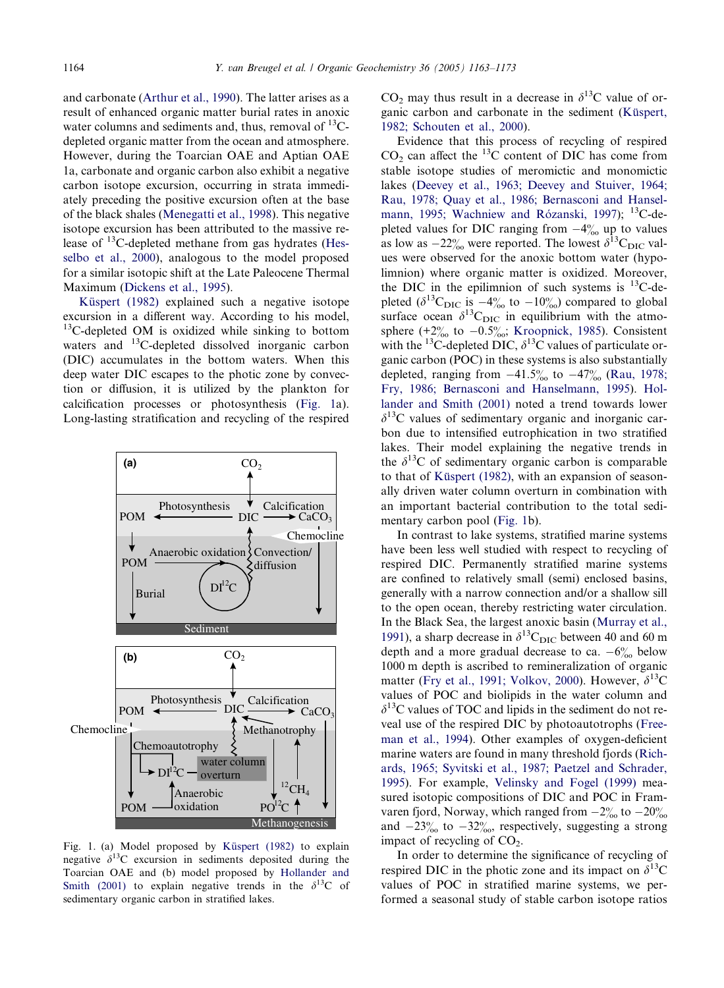and carbonate [\(Arthur et al., 1990](#page-8-0)). The latter arises as a result of enhanced organic matter burial rates in anoxic water columns and sediments and, thus, removal of  $^{13}C$ depleted organic matter from the ocean and atmosphere. However, during the Toarcian OAE and Aptian OAE 1a, carbonate and organic carbon also exhibit a negative carbon isotope excursion, occurring in strata immediately preceding the positive excursion often at the base of the black shales [\(Menegatti et al., 1998](#page-9-0)). This negative isotope excursion has been attributed to the massive release of 13C-depleted methane from gas hydrates ([Hes](#page-9-0)[selbo et al., 2000](#page-9-0)), analogous to the model proposed for a similar isotopic shift at the Late Paleocene Thermal Maximum [\(Dickens et al., 1995\)](#page-9-0).

Küspert (1982) explained such a negative isotope excursion in a different way. According to his model,  $13^{\circ}$ C-depleted OM is oxidized while sinking to bottom waters and <sup>13</sup>C-depleted dissolved inorganic carbon (DIC) accumulates in the bottom waters. When this deep water DIC escapes to the photic zone by convection or diffusion, it is utilized by the plankton for calcification processes or photosynthesis (Fig. 1a). Long-lasting stratification and recycling of the respired



Fig. 1. (a) Model proposed by Küspert (1982) to explain negative  $\delta^{13}$ C excursion in sediments deposited during the Toarcian OAE and (b) model proposed by [Hollander and](#page-9-0) [Smith \(2001\)](#page-9-0) to explain negative trends in the  $\delta^{13}$ C of sedimentary organic carbon in stratified lakes.

 $CO<sub>2</sub>$  may thus result in a decrease in  $\delta^{13}$ C value of organic carbon and carbonate in the sediment (Küspert, [1982; Schouten et al., 2000](#page-9-0)).

Evidence that this process of recycling of respired  $CO<sub>2</sub>$  can affect the <sup>13</sup>C content of DIC has come from stable isotope studies of meromictic and monomictic lakes ([Deevey et al., 1963; Deevey and Stuiver, 1964;](#page-9-0) [Rau, 1978; Quay et al., 1986; Bernasconi and Hansel](#page-9-0)mann, 1995; Wachniew and Rózanski, 1997); <sup>13</sup>C-depleted values for DIC ranging from  $-4\%$  up to values as low as  $-22\%$  were reported. The lowest  $\delta^{13}C_{\text{DIC}}$  values were observed for the anoxic bottom water (hypolimnion) where organic matter is oxidized. Moreover, the DIC in the epilimnion of such systems is  $^{13}$ C-depleted ( $\delta^{13}$ C<sub>DIC</sub> is  $-4\%$  to  $-10\%$ ) compared to global surface ocean  $\delta^{13}C_{\text{DIC}}$  in equilibrium with the atmosphere (+2 $\%$  to  $-0.5\%$ ; [Kroopnick, 1985](#page-9-0)). Consistent with the <sup>13</sup>C-depleted DIC,  $\delta$ <sup>13</sup>C values of particulate organic carbon (POC) in these systems is also substantially depleted, ranging from  $-41.5\%$  to  $-47\%$  ([Rau, 1978;](#page-9-0) [Fry, 1986; Bernasconi and Hanselmann, 1995\)](#page-9-0). [Hol](#page-9-0)[lander and Smith \(2001\)](#page-9-0) noted a trend towards lower  $\delta^{13}$ C values of sedimentary organic and inorganic carbon due to intensified eutrophication in two stratified lakes. Their model explaining the negative trends in the  $\delta^{13}$ C of sedimentary organic carbon is comparable to that of Küspert (1982), with an expansion of seasonally driven water column overturn in combination with an important bacterial contribution to the total sedimentary carbon pool (Fig. 1b).

In contrast to lake systems, stratified marine systems have been less well studied with respect to recycling of respired DIC. Permanently stratified marine systems are confined to relatively small (semi) enclosed basins, generally with a narrow connection and/or a shallow sill to the open ocean, thereby restricting water circulation. In the Black Sea, the largest anoxic basin ([Murray et al.,](#page-9-0) [1991](#page-9-0)), a sharp decrease in  $\delta^{13}C_{\text{DIC}}$  between 40 and 60 m depth and a more gradual decrease to ca.  $-6\%$  below 1000 m depth is ascribed to remineralization of organic matter ([Fry et al., 1991; Volkov, 2000](#page-9-0)). However,  $\delta^{13}$ C values of POC and biolipids in the water column and  $\delta^{13}$ C values of TOC and lipids in the sediment do not reveal use of the respired DIC by photoautotrophs [\(Free](#page-9-0)[man et al., 1994](#page-9-0)). Other examples of oxygen-deficient marine waters are found in many threshold fjords ([Rich](#page-10-0)[ards, 1965; Syvitski et al., 1987; Paetzel and Schrader,](#page-10-0) [1995](#page-10-0)). For example, [Velinsky and Fogel \(1999\)](#page-10-0) measured isotopic compositions of DIC and POC in Framvaren fjord, Norway, which ranged from  $-2\frac{\omega}{\omega}$  to  $-20\frac{\omega}{\omega}$ and  $-23\%$  to  $-32\%$ , respectively, suggesting a strong impact of recycling of  $CO<sub>2</sub>$ .

In order to determine the significance of recycling of respired DIC in the photic zone and its impact on  $\delta^{13}$ C values of POC in stratified marine systems, we performed a seasonal study of stable carbon isotope ratios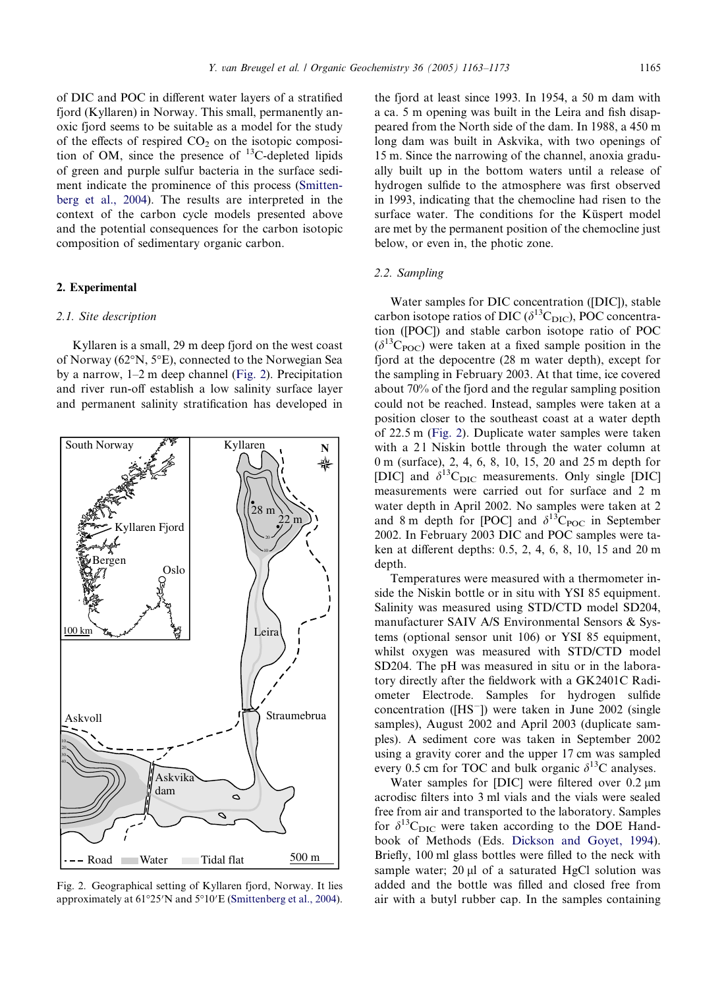<span id="page-2-0"></span>of DIC and POC in different water layers of a stratified fjord (Kyllaren) in Norway. This small, permanently anoxic fjord seems to be suitable as a model for the study of the effects of respired  $CO<sub>2</sub>$  on the isotopic composition of OM, since the presence of  $^{13}$ C-depleted lipids of green and purple sulfur bacteria in the surface sediment indicate the prominence of this process [\(Smitten](#page-10-0)[berg et al., 2004\)](#page-10-0). The results are interpreted in the context of the carbon cycle models presented above and the potential consequences for the carbon isotopic composition of sedimentary organic carbon.

## 2. Experimental

#### 2.1. Site description

Kyllaren is a small, 29 m deep fjord on the west coast of Norway (62°N, 5°E), connected to the Norwegian Sea by a narrow, 1–2 m deep channel (Fig. 2). Precipitation and river run-off establish a low salinity surface layer and permanent salinity stratification has developed in



Fig. 2. Geographical setting of Kyllaren fjord, Norway. It lies approximately at  $61^{\circ}25'N$  and  $5^{\circ}10'E$  ([Smittenberg et al., 2004\)](#page-10-0).

the fjord at least since 1993. In 1954, a 50 m dam with a ca. 5 m opening was built in the Leira and fish disappeared from the North side of the dam. In 1988, a 450 m long dam was built in Askvika, with two openings of 15 m. Since the narrowing of the channel, anoxia gradually built up in the bottom waters until a release of hydrogen sulfide to the atmosphere was first observed in 1993, indicating that the chemocline had risen to the surface water. The conditions for the Küspert model are met by the permanent position of the chemocline just below, or even in, the photic zone.

## 2.2. Sampling

Water samples for DIC concentration ([DIC]), stable carbon isotope ratios of DIC ( $\delta^{13}C_{\text{DIC}}$ ), POC concentration ([POC]) and stable carbon isotope ratio of POC  $(\delta^{13}C_{\text{POC}})$  were taken at a fixed sample position in the fjord at the depocentre (28 m water depth), except for the sampling in February 2003. At that time, ice covered about 70% of the fjord and the regular sampling position could not be reached. Instead, samples were taken at a position closer to the southeast coast at a water depth of 22.5 m (Fig. 2). Duplicate water samples were taken with a 21 Niskin bottle through the water column at 0 m (surface), 2, 4, 6, 8, 10, 15, 20 and 25 m depth for [DIC] and  $\delta^{13}C_{\text{DIC}}$  measurements. Only single [DIC] measurements were carried out for surface and 2 m water depth in April 2002. No samples were taken at 2 and 8 m depth for [POC] and  $\delta^{13}C_{\text{POC}}$  in September 2002. In February 2003 DIC and POC samples were taken at different depths: 0.5, 2, 4, 6, 8, 10, 15 and 20 m depth.

Temperatures were measured with a thermometer inside the Niskin bottle or in situ with YSI 85 equipment. Salinity was measured using STD/CTD model SD204, manufacturer SAIV A/S Environmental Sensors & Systems (optional sensor unit 106) or YSI 85 equipment, whilst oxygen was measured with STD/CTD model SD204. The pH was measured in situ or in the laboratory directly after the fieldwork with a GK2401C Radiometer Electrode. Samples for hydrogen sulfide concentration ( $[HS^-]$ ) were taken in June 2002 (single samples), August 2002 and April 2003 (duplicate samples). A sediment core was taken in September 2002 using a gravity corer and the upper 17 cm was sampled every 0.5 cm for TOC and bulk organic  $\delta^{13}$ C analyses.

Water samples for [DIC] were filtered over 0.2 um acrodisc filters into 3 ml vials and the vials were sealed free from air and transported to the laboratory. Samples for  $\delta^{13}C_{\text{DIC}}$  were taken according to the DOE Handbook of Methods (Eds. [Dickson and Goyet, 1994](#page-9-0)). Briefly, 100 ml glass bottles were filled to the neck with sample water;  $20 \mu l$  of a saturated HgCl solution was added and the bottle was filled and closed free from air with a butyl rubber cap. In the samples containing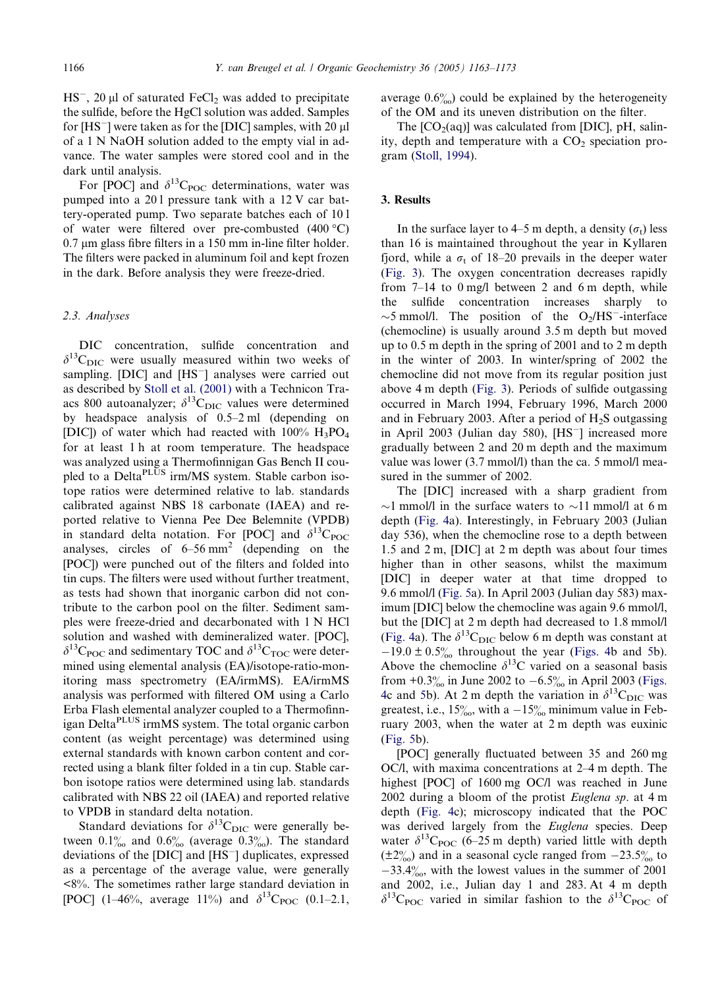$HS^-$ , 20 µl of saturated  $FeCl_2$  was added to precipitate the sulfide, before the HgCl solution was added. Samples for  $[HS^-]$  were taken as for the  $[DIC]$  samples, with 20  $\mu$ of a 1 N NaOH solution added to the empty vial in advance. The water samples were stored cool and in the dark until analysis.

For [POC] and  $\delta^{13}C_{\text{POC}}$  determinations, water was pumped into a 20 l pressure tank with a 12 V car battery-operated pump. Two separate batches each of 10 l of water were filtered over pre-combusted  $(400 °C)$  $0.7 \mu m$  glass fibre filters in a 150 mm in-line filter holder. The filters were packed in aluminum foil and kept frozen in the dark. Before analysis they were freeze-dried.

# 2.3. Analyses

DIC concentration, sulfide concentration and  $\delta^{13}$ C<sub>DIC</sub> were usually measured within two weeks of sampling. [DIC] and [HS<sup>--</sup>] analyses were carried out as described by [Stoll et al. \(2001\)](#page-10-0) with a Technicon Traacs 800 autoanalyzer;  $\delta^{13}C_{\text{DIC}}$  values were determined by headspace analysis of 0.5–2 ml (depending on [DIC]) of water which had reacted with  $100\%$   $H_3PO_4$ for at least 1 h at room temperature. The headspace was analyzed using a Thermofinnigan Gas Bench II coupled to a Delta<sup>PLUS</sup> irm/MS system. Stable carbon isotope ratios were determined relative to lab. standards calibrated against NBS 18 carbonate (IAEA) and reported relative to Vienna Pee Dee Belemnite (VPDB) in standard delta notation. For [POC] and  $\delta^{13}C_{\text{POC}}$ analyses, circles of  $6-56$  mm<sup>2</sup> (depending on the [POC]) were punched out of the filters and folded into tin cups. The filters were used without further treatment, as tests had shown that inorganic carbon did not contribute to the carbon pool on the filter. Sediment samples were freeze-dried and decarbonated with 1 N HCl solution and washed with demineralized water. [POC],  $\delta^{13}C_{\text{POC}}$  and sedimentary TOC and  $\delta^{13}C_{\text{TOC}}$  were determined using elemental analysis (EA)/isotope-ratio-monitoring mass spectrometry (EA/irmMS). EA/irmMS analysis was performed with filtered OM using a Carlo Erba Flash elemental analyzer coupled to a Thermofinnigan DeltaPLUS irmMS system. The total organic carbon content (as weight percentage) was determined using external standards with known carbon content and corrected using a blank filter folded in a tin cup. Stable carbon isotope ratios were determined using lab. standards calibrated with NBS 22 oil (IAEA) and reported relative to VPDB in standard delta notation.

Standard deviations for  $\delta^{13}C_{\text{DIC}}$  were generally between  $0.1\%$  and  $0.6\%$  (average  $0.3\%$ ). The standard deviations of the  $[DIC]$  and  $[HS^-]$  duplicates, expressed as a percentage of the average value, were generally <8%. The sometimes rather large standard deviation in [POC] (1–46%, average 11%) and  $\delta^{13}C_{POC}$  (0.1–2.1, average  $0.6\%$  could be explained by the heterogeneity of the OM and its uneven distribution on the filter.

The  $[CO<sub>2</sub>(aq)]$  was calculated from  $[DIC]$ , pH, salinity, depth and temperature with a  $CO<sub>2</sub>$  speciation program [\(Stoll, 1994](#page-10-0)).

#### 3. Results

In the surface layer to 4–5 m depth, a density  $(\sigma_t)$  less than 16 is maintained throughout the year in Kyllaren fjord, while a  $\sigma_t$  of 18–20 prevails in the deeper water ([Fig. 3](#page-4-0)). The oxygen concentration decreases rapidly from 7–14 to 0 mg/l between 2 and 6 m depth, while the sulfide concentration increases sharply to  $\sim$ 5 mmol/l. The position of the O<sub>2</sub>/HS<sup>-</sup>-interface (chemocline) is usually around 3.5 m depth but moved up to 0.5 m depth in the spring of 2001 and to 2 m depth in the winter of 2003. In winter/spring of 2002 the chemocline did not move from its regular position just above 4 m depth [\(Fig. 3](#page-4-0)). Periods of sulfide outgassing occurred in March 1994, February 1996, March 2000 and in February 2003. After a period of  $H_2S$  outgassing in April 2003 (Julian day 580), [HS<sup>-</sup>] increased more gradually between 2 and 20 m depth and the maximum value was lower (3.7 mmol/l) than the ca. 5 mmol/l measured in the summer of 2002.

The [DIC] increased with a sharp gradient from  $\sim$ 1 mmol/l in the surface waters to  $\sim$ 11 mmol/l at 6 m depth ([Fig. 4a](#page-4-0)). Interestingly, in February 2003 (Julian day 536), when the chemocline rose to a depth between 1.5 and 2 m, [DIC] at 2 m depth was about four times higher than in other seasons, whilst the maximum [DIC] in deeper water at that time dropped to 9.6 mmol/l [\(Fig. 5](#page-5-0)a). In April 2003 (Julian day 583) maximum [DIC] below the chemocline was again 9.6 mmol/l, but the [DIC] at 2 m depth had decreased to 1.8 mmol/l ([Fig. 4a](#page-4-0)). The  $\delta^{13}C_{\text{DIC}}$  below 6 m depth was constant at  $-19.0 \pm 0.5\%$  $-19.0 \pm 0.5\%$  $-19.0 \pm 0.5\%$  throughout the year ([Figs. 4](#page-4-0)b and 5b). Above the chemocline  $\delta^{13}$ C varied on a seasonal basis from  $+0.3\%$  in June 2002 to  $-6.5\%$  in April 2003 ([Figs.](#page-4-0) [4](#page-4-0)c and [5](#page-5-0)b). At 2 m depth the variation in  $\delta^{13}C_{\text{DIC}}$  was greatest, i.e.,  $15\%$ , with a  $-15\%$  minimum value in February 2003, when the water at 2 m depth was euxinic ([Fig. 5](#page-5-0)b).

[POC] generally fluctuated between 35 and 260 mg OC/l, with maxima concentrations at 2–4 m depth. The highest [POC] of 1600 mg OC/l was reached in June 2002 during a bloom of the protist Euglena sp. at 4 m depth [\(Fig. 4](#page-4-0)c); microscopy indicated that the POC was derived largely from the *Euglena* species. Deep water  $\delta^{13}C_{\text{POC}}$  (6–25 m depth) varied little with depth  $(\pm 2\%)$  and in a seasonal cycle ranged from  $-23.5\%$  to  $-33.4\%$ , with the lowest values in the summer of 2001 and 2002, i.e., Julian day 1 and 283. At 4 m depth  $\delta^{13}$ C<sub>POC</sub> varied in similar fashion to the  $\delta^{13}$ C<sub>POC</sub> of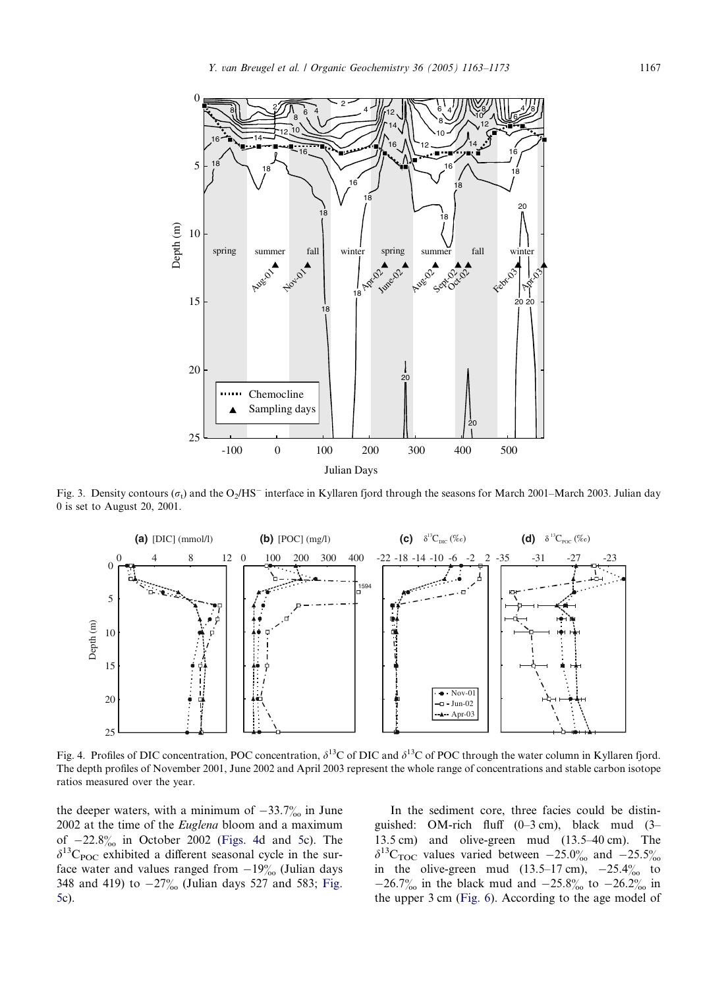<span id="page-4-0"></span>

Fig. 3. Density contours ( $\sigma_t$ ) and the O<sub>2</sub>/HS<sup>-</sup> interface in Kyllaren fjord through the seasons for March 2001–March 2003. Julian day 0 is set to August 20, 2001.



Fig. 4. Profiles of DIC concentration, POC concentration,  $\delta^{13}C$  of DIC and  $\delta^{13}C$  of POC through the water column in Kyllaren fjord. The depth profiles of November 2001, June 2002 and April 2003 represent the whole range of concentrations and stable carbon isotope ratios measured over the year.

the deeper waters, with a minimum of  $-33.7\%$  in June 2002 at the time of the Euglena bloom and a maximum of  $-22.8\%$  in October 2002 (Figs. 4d and [5c](#page-5-0)). The  $\delta^{13}C_{\text{POC}}$  exhibited a different seasonal cycle in the surface water and values ranged from  $-19\%$  (Julian days 348 and 419) to  $-27\%$  (Julian days 527 and 583; [Fig.](#page-5-0) [5c](#page-5-0)).

In the sediment core, three facies could be distinguished: OM-rich fluff (0–3 cm), black mud (3– 13.5 cm) and olive-green mud (13.5–40 cm). The  $\delta^{13}$ C<sub>TOC</sub> values varied between  $-25.0\%$  and  $-25.5\%$ in the olive-green mud  $(13.5-17 \text{ cm})$ ,  $-25.4\%$  to  $-26.7\%$  in the black mud and  $-25.8\%$  to  $-26.2\%$  in the upper 3 cm ([Fig. 6\)](#page-6-0). According to the age model of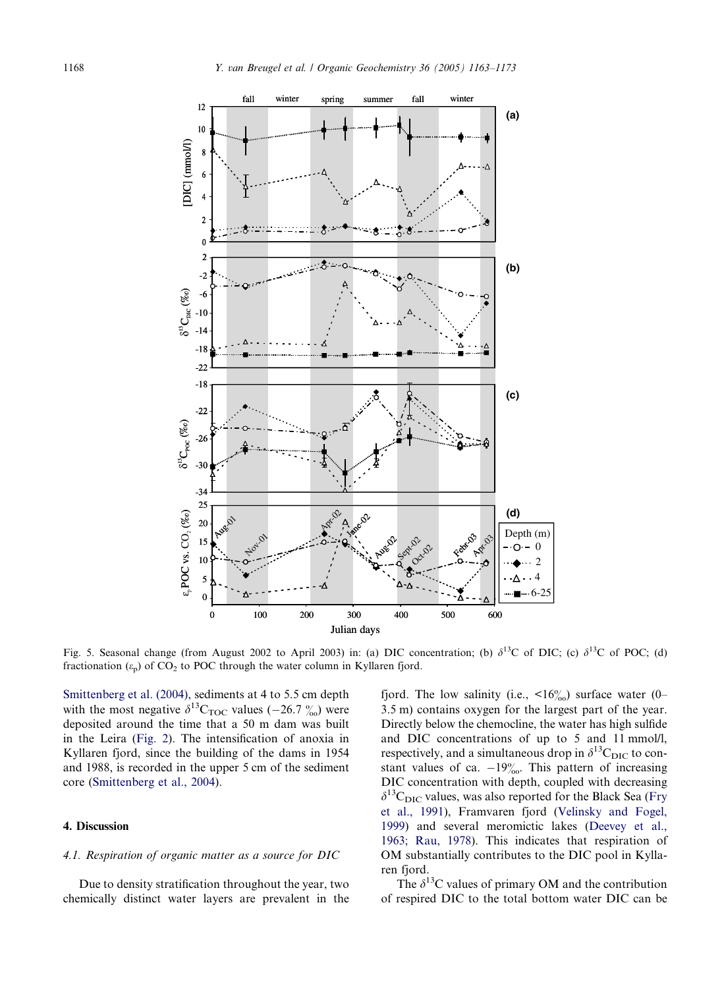<span id="page-5-0"></span>

Fig. 5. Seasonal change (from August 2002 to April 2003) in: (a) DIC concentration; (b)  $\delta^{13}C$  of DIC; (c)  $\delta^{13}C$  of POC; (d) fractionation  $(\varepsilon_p)$  of CO<sub>2</sub> to POC through the water column in Kyllaren fjord.

[Smittenberg et al. \(2004\)](#page-10-0), sediments at 4 to 5.5 cm depth with the most negative  $\delta^{13}C_{\text{TOC}}$  values (-26.7  $\frac{\%}{\%}$ ) were deposited around the time that a 50 m dam was built in the Leira ([Fig. 2](#page-2-0)). The intensification of anoxia in Kyllaren fjord, since the building of the dams in 1954 and 1988, is recorded in the upper 5 cm of the sediment core ([Smittenberg et al., 2004\)](#page-10-0).

### 4. Discussion

#### 4.1. Respiration of organic matter as a source for DIC

Due to density stratification throughout the year, two chemically distinct water layers are prevalent in the fjord. The low salinity (i.e.,  $\langle 16 \rangle_{00}$ ) surface water (0– 3.5 m) contains oxygen for the largest part of the year. Directly below the chemocline, the water has high sulfide and DIC concentrations of up to 5 and 11 mmol/l, respectively, and a simultaneous drop in  $\delta^{13}C_{\text{DIC}}$  to constant values of ca.  $-19\%$ . This pattern of increasing DIC concentration with depth, coupled with decreasing  $\delta^{13}C_{\text{DIC}}$  values, was also reported for the Black Sea ([Fry](#page-9-0) [et al., 1991\)](#page-9-0), Framvaren fjord [\(Velinsky and Fogel,](#page-10-0) [1999](#page-10-0)) and several meromictic lakes ([Deevey et al.,](#page-9-0) [1963; Rau, 1978](#page-9-0)). This indicates that respiration of OM substantially contributes to the DIC pool in Kyllaren fjord.

The  $\delta^{13}$ C values of primary OM and the contribution of respired DIC to the total bottom water DIC can be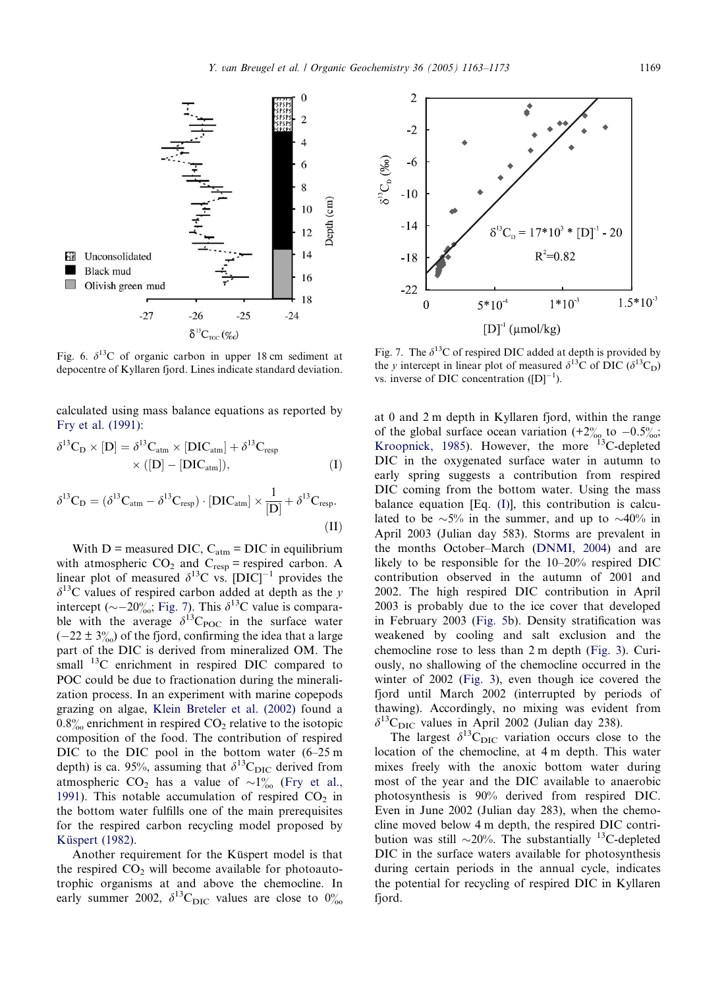<span id="page-6-0"></span>

Fig. 6.  $\delta^{13}$ C of organic carbon in upper 18 cm sediment at depocentre of Kyllaren fjord. Lines indicate standard deviation.

calculated using mass balance equations as reported by [Fry et al. \(1991\):](#page-9-0)

$$
\delta^{13}C_D \times [D] = \delta^{13}C_{atm} \times [DIC_{atm}] + \delta^{13}C_{resp}
$$
  
× ([D] - [DIC<sub>atm</sub>]), (I)

$$
\delta^{13}C_{D} = (\delta^{13}C_{atm} - \delta^{13}C_{resp}) \cdot [DIC_{atm}] \times \frac{1}{[D]} + \delta^{13}C_{resp}.
$$
\n(II)

With  $D$  = measured DIC,  $C_{atm}$  = DIC in equilibrium with atmospheric  $CO_2$  and  $C_{resp}$  = respired carbon. A linear plot of measured  $\delta^{13}$ C vs.  $[DIC]^{-1}$  provides the  $\delta^{13}$ C values of respired carbon added at depth as the y intercept ( $\sim$  -20‰; Fig. 7). This  $\delta^{13}$ C value is comparable with the average  $\delta^{13}C_{\text{POC}}$  in the surface water  $(-22 \pm 3\%)$  of the fjord, confirming the idea that a large part of the DIC is derived from mineralized OM. The small <sup>13</sup>C enrichment in respired DIC compared to POC could be due to fractionation during the mineralization process. In an experiment with marine copepods grazing on algae, [Klein Breteler et al. \(2002\)](#page-9-0) found a  $0.8\%$  enrichment in respired  $CO<sub>2</sub>$  relative to the isotopic composition of the food. The contribution of respired DIC to the DIC pool in the bottom water  $(6-25 \text{ m})$ depth) is ca. 95%, assuming that  $\delta^{13}C_{\text{DIC}}$  derived from atmospheric CO<sub>2</sub> has a value of  $\sim 1\%$  ([Fry et al.,](#page-9-0) [1991](#page-9-0)). This notable accumulation of respired  $CO<sub>2</sub>$  in the bottom water fulfills one of the main prerequisites for the respired carbon recycling model proposed by Küspert (1982).

Another requirement for the Kuspert model is that the respired  $CO<sub>2</sub>$  will become available for photoautotrophic organisms at and above the chemocline. In early summer 2002,  $\delta^{13}$ C<sub>DIC</sub> values are close to  $0\%$ 



Fig. 7. The  $\delta^{13}$ C of respired DIC added at depth is provided by the y intercept in linear plot of measured  $\delta^{13}$ C of DIC ( $\delta^{13}$ C<sub>D</sub>) vs. inverse of DIC concentration  $([D]^{-1})$ .

at 0 and 2 m depth in Kyllaren fjord, within the range of the global surface ocean variation  $(+2\%$  to  $-0.5\%$ ; [Kroopnick, 1985](#page-9-0)). However, the more  $13C$ -depleted DIC in the oxygenated surface water in autumn to early spring suggests a contribution from respired DIC coming from the bottom water. Using the mass balance equation [Eq. (I)], this contribution is calculated to be  $\sim 5\%$  in the summer, and up to  $\sim 40\%$  in April 2003 (Julian day 583). Storms are prevalent in the months October–March [\(DNMI, 2004](#page-9-0)) and are likely to be responsible for the 10–20% respired DIC contribution observed in the autumn of 2001 and 2002. The high respired DIC contribution in April 2003 is probably due to the ice cover that developed in February 2003 ([Fig. 5b](#page-5-0)). Density stratification was weakened by cooling and salt exclusion and the chemocline rose to less than 2 m depth ([Fig. 3](#page-4-0)). Curiously, no shallowing of the chemocline occurred in the winter of 2002 [\(Fig. 3\)](#page-4-0), even though ice covered the fjord until March 2002 (interrupted by periods of thawing). Accordingly, no mixing was evident from  $\delta^{13}C_{\text{DIC}}$  values in April 2002 (Julian day 238).

The largest  $\delta^{13}C_{\text{DIC}}$  variation occurs close to the location of the chemocline, at 4 m depth. This water mixes freely with the anoxic bottom water during most of the year and the DIC available to anaerobic photosynthesis is 90% derived from respired DIC. Even in June 2002 (Julian day 283), when the chemocline moved below 4 m depth, the respired DIC contribution was still  $\sim$ 20%. The substantially <sup>13</sup>C-depleted DIC in the surface waters available for photosynthesis during certain periods in the annual cycle, indicates the potential for recycling of respired DIC in Kyllaren fjord.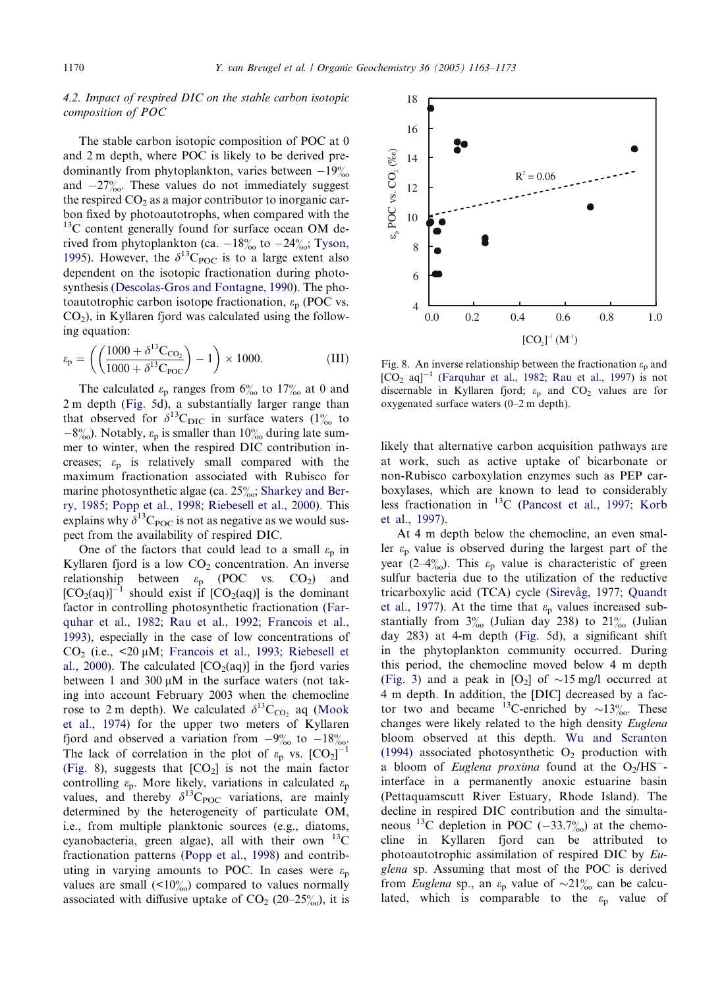# 4.2. Impact of respired DIC on the stable carbon isotopic composition of POC

The stable carbon isotopic composition of POC at 0 and 2 m depth, where POC is likely to be derived predominantly from phytoplankton, varies between  $-19\%$ and  $-27\%$ . These values do not immediately suggest the respired  $CO<sub>2</sub>$  as a major contributor to inorganic carbon fixed by photoautotrophs, when compared with the <sup>13</sup>C content generally found for surface ocean OM derived from phytoplankton (ca.  $-18\%$  to  $-24\%$ ; [Tyson,](#page-10-0) [1995](#page-10-0)). However, the  $\delta^{13}C_{\text{POC}}$  is to a large extent also dependent on the isotopic fractionation during photosynthesis ([Descolas-Gros and Fontagne, 1990](#page-9-0)). The photoautotrophic carbon isotope fractionation,  $\varepsilon_p$  (POC vs.  $CO<sub>2</sub>$ ), in Kyllaren fjord was calculated using the following equation:

$$
\varepsilon_{\rm p} = \left( \left( \frac{1000 + \delta^{13} \text{C}_{\text{CO}_2}}{1000 + \delta^{13} \text{C}_{\text{POC}}} \right) - 1 \right) \times 1000. \tag{III}
$$

The calculated  $\varepsilon_p$  ranges from  $6\%$  to 17% at 0 and 2 m depth [\(Fig. 5](#page-5-0)d), a substantially larger range than that observed for  $\delta^{13}C_{\text{DIC}}$  in surface waters  $(1\%$  to  $-8\%$ . Notably,  $\varepsilon_p$  is smaller than  $10\%$  during late summer to winter, when the respired DIC contribution increases;  $\varepsilon_p$  is relatively small compared with the maximum fractionation associated with Rubisco for marine photosynthetic algae (ca. 25%; [Sharkey and Ber](#page-10-0)[ry, 1985; Popp et al., 1998; Riebesell et al., 2000](#page-10-0)). This explains why  $\delta^{13}C_{\text{POC}}$  is not as negative as we would suspect from the availability of respired DIC.

One of the factors that could lead to a small  $\varepsilon_p$  in Kyllaren fjord is a low  $CO<sub>2</sub>$  concentration. An inverse relationship between  $\varepsilon_p$  (POC vs. CO<sub>2</sub>) and  $[CO_2(aq)]^{-1}$  should exist if  $[CO_2(aq)]$  is the dominant factor in controlling photosynthetic fractionation ([Far](#page-9-0)[quhar et al., 1982; Rau et al., 1992; Francois et al.,](#page-9-0) [1993](#page-9-0)), especially in the case of low concentrations of CO<sub>2</sub> (i.e.,  $\leq$ 20 µM; [Francois et al., 1993; Riebesell et](#page-9-0) [al., 2000\)](#page-9-0). The calculated  $[CO<sub>2</sub>(aq)]$  in the fjord varies between 1 and 300  $\mu$ M in the surface waters (not taking into account February 2003 when the chemocline rose to 2 m depth). We calculated  $\delta^{13}C_{\text{CO}}$ , aq ([Mook](#page-9-0) [et al., 1974\)](#page-9-0) for the upper two meters of Kyllaren fjord and observed a variation from  $-9\%$  to  $-18\%$ . The lack of correlation in the plot of  $\varepsilon_p$  vs.  $[CO_2]^{-1}$ (Fig. 8), suggests that  $[CO<sub>2</sub>]$  is not the main factor controlling  $\varepsilon_p$ . More likely, variations in calculated  $\varepsilon_p$ values, and thereby  $\delta^{13}C_{\text{POC}}$  variations, are mainly determined by the heterogeneity of particulate OM, i.e., from multiple planktonic sources (e.g., diatoms, cyanobacteria, green algae), all with their own  $^{13}$ C fractionation patterns [\(Popp et al., 1998](#page-9-0)) and contributing in varying amounts to POC. In cases were  $\varepsilon_p$ values are small  $($ <10 $\%)$  compared to values normally associated with diffusive uptake of  $CO<sub>2</sub>$  (20–25 $\frac{\%}{\%}$ ), it is



Fig. 8. An inverse relationship between the fractionation  $\varepsilon_p$  and  $[CO<sub>2</sub> aq]^{-1}$  [\(Farquhar et al., 1982; Rau et al., 1997](#page-9-0)) is not discernable in Kyllaren fjord;  $\varepsilon_p$  and CO<sub>2</sub> values are for oxygenated surface waters (0–2 m depth).

likely that alternative carbon acquisition pathways are at work, such as active uptake of bicarbonate or non-Rubisco carboxylation enzymes such as PEP carboxylases, which are known to lead to considerably less fractionation in  $^{13}$ C ([Pancost et al., 1997; Korb](#page-9-0) [et al., 1997](#page-9-0)).

At 4 m depth below the chemocline, an even smaller  $\varepsilon_p$  value is observed during the largest part of the year (2–4 $\frac{\omega}{\omega}$ ). This  $\varepsilon_p$  value is characteristic of green sulfur bacteria due to the utilization of the reductive tricarboxylic acid (TCA) cycle (Sirevåg, 1977; Quandt [et al., 1977](#page-10-0)). At the time that  $\varepsilon_p$  values increased substantially from  $3\%$  (Julian day 238) to  $21\%$  (Julian day 283) at 4-m depth [\(Fig. 5](#page-5-0)d), a significant shift in the phytoplankton community occurred. During this period, the chemocline moved below 4 m depth ([Fig. 3\)](#page-4-0) and a peak in  $[O_2]$  of  $\sim$ 15 mg/l occurred at 4 m depth. In addition, the [DIC] decreased by a factor two and became <sup>13</sup>C-enriched by  $\sim$ 13 $\frac{\%}{\%}$ . These changes were likely related to the high density Euglena bloom observed at this depth. [Wu and Scranton](#page-10-0) [\(1994\)](#page-10-0) associated photosynthetic  $O_2$  production with a bloom of Euglena proxima found at the  $O<sub>2</sub>/HS$ <sup>-</sup>interface in a permanently anoxic estuarine basin (Pettaquamscutt River Estuary, Rhode Island). The decline in respired DIC contribution and the simultaneous <sup>13</sup>C depletion in POC (-33.7%) at the chemocline in Kyllaren fjord can be attributed to photoautotrophic assimilation of respired DIC by Euglena sp. Assuming that most of the POC is derived from *Euglena* sp., an  $\varepsilon_p$  value of  $\sim 21\%$  can be calculated, which is comparable to the  $\varepsilon_p$  value of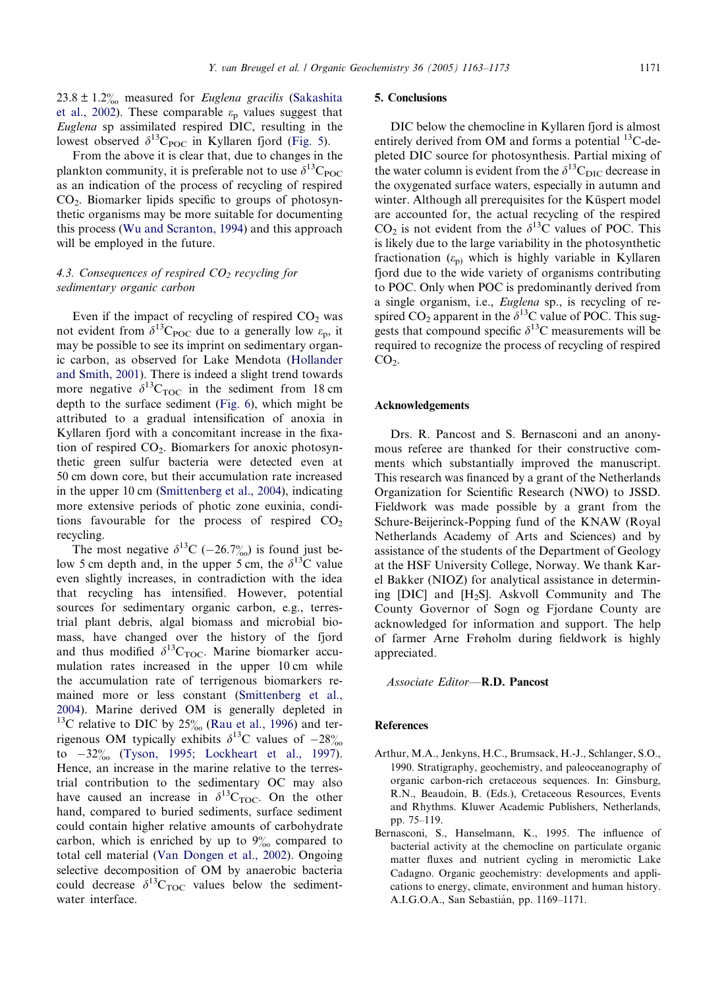<span id="page-8-0"></span> $23.8 \pm 1.2\%$  measured for *Euglena gracilis* ([Sakashita](#page-10-0) [et al., 2002](#page-10-0)). These comparable  $\varepsilon_p$  values suggest that Euglena sp assimilated respired DIC, resulting in the lowest observed  $\delta^{13}C_{\text{POC}}$  in Kyllaren fjord [\(Fig. 5](#page-5-0)).

From the above it is clear that, due to changes in the plankton community, it is preferable not to use  $\delta^{13}C_{\text{POC}}$ as an indication of the process of recycling of respired CO2. Biomarker lipids specific to groups of photosynthetic organisms may be more suitable for documenting this process [\(Wu and Scranton, 1994](#page-10-0)) and this approach will be employed in the future.

# 4.3. Consequences of respired  $CO<sub>2</sub>$  recycling for sedimentary organic carbon

Even if the impact of recycling of respired  $CO<sub>2</sub>$  was not evident from  $\delta^{13}C_{\text{POC}}$  due to a generally low  $\varepsilon_{p}$ , it may be possible to see its imprint on sedimentary organic carbon, as observed for Lake Mendota ([Hollander](#page-9-0) [and Smith, 2001](#page-9-0)). There is indeed a slight trend towards more negative  $\delta^{13}C_{\text{TOC}}$  in the sediment from 18 cm depth to the surface sediment [\(Fig. 6](#page-6-0)), which might be attributed to a gradual intensification of anoxia in Kyllaren fjord with a concomitant increase in the fixation of respired  $CO<sub>2</sub>$ . Biomarkers for anoxic photosynthetic green sulfur bacteria were detected even at 50 cm down core, but their accumulation rate increased in the upper 10 cm [\(Smittenberg et al., 2004\)](#page-10-0), indicating more extensive periods of photic zone euxinia, conditions favourable for the process of respired  $CO<sub>2</sub>$ recycling.

The most negative  $\delta^{13}C$  (-26.7%) is found just below 5 cm depth and, in the upper 5 cm, the  $\delta^{13}$ C value even slightly increases, in contradiction with the idea that recycling has intensified. However, potential sources for sedimentary organic carbon, e.g., terrestrial plant debris, algal biomass and microbial biomass, have changed over the history of the fjord and thus modified  $\delta^{13}C_{\text{TOC}}$ . Marine biomarker accumulation rates increased in the upper 10 cm while the accumulation rate of terrigenous biomarkers remained more or less constant ([Smittenberg et al.,](#page-10-0) [2004](#page-10-0)). Marine derived OM is generally depleted in  $^{13}$ C relative to DIC by 25 $\%$  [\(Rau et al., 1996\)](#page-9-0) and terrigenous OM typically exhibits  $\delta^{13}$ C values of  $-28\%$ to  $-32\%$  ([Tyson, 1995; Lockheart et al., 1997](#page-10-0)). Hence, an increase in the marine relative to the terrestrial contribution to the sedimentary OC may also have caused an increase in  $\delta^{13}C_{TOC}$ . On the other hand, compared to buried sediments, surface sediment could contain higher relative amounts of carbohydrate carbon, which is enriched by up to  $9\%$  compared to total cell material [\(Van Dongen et al., 2002\)](#page-10-0). Ongoing selective decomposition of OM by anaerobic bacteria could decrease  $\delta^{13}C_{\text{TOC}}$  values below the sedimentwater interface.

## 5. Conclusions

DIC below the chemocline in Kyllaren fjord is almost entirely derived from OM and forms a potential  $^{13}$ C-depleted DIC source for photosynthesis. Partial mixing of the water column is evident from the  $\delta^{13}C_{\text{DIC}}$  decrease in the oxygenated surface waters, especially in autumn and winter. Although all prerequisites for the Küspert model are accounted for, the actual recycling of the respired  $CO<sub>2</sub>$  is not evident from the  $\delta^{13}$ C values of POC. This is likely due to the large variability in the photosynthetic fractionation  $(\varepsilon_{p})$  which is highly variable in Kyllaren fjord due to the wide variety of organisms contributing to POC. Only when POC is predominantly derived from a single organism, i.e., Euglena sp., is recycling of respired CO<sub>2</sub> apparent in the  $\delta^{13}$ C value of POC. This suggests that compound specific  $\delta^{13}$ C measurements will be required to recognize the process of recycling of respired  $CO<sub>2</sub>$ .

#### Acknowledgements

Drs. R. Pancost and S. Bernasconi and an anonymous referee are thanked for their constructive comments which substantially improved the manuscript. This research was financed by a grant of the Netherlands Organization for Scientific Research (NWO) to JSSD. Fieldwork was made possible by a grant from the Schure-Beijerinck-Popping fund of the KNAW (Royal Netherlands Academy of Arts and Sciences) and by assistance of the students of the Department of Geology at the HSF University College, Norway. We thank Karel Bakker (NIOZ) for analytical assistance in determining [DIC] and  $[H_2S]$ . Askvoll Community and The County Governor of Sogn og Fjordane County are acknowledged for information and support. The help of farmer Arne Frøholm during fieldwork is highly appreciated.

Associate Editor—R.D. Pancost

#### **References**

- Arthur, M.A., Jenkyns, H.C., Brumsack, H.-J., Schlanger, S.O., 1990. Stratigraphy, geochemistry, and paleoceanography of organic carbon-rich cretaceous sequences. In: Ginsburg, R.N., Beaudoin, B. (Eds.), Cretaceous Resources, Events and Rhythms. Kluwer Academic Publishers, Netherlands, pp. 75–119.
- Bernasconi, S., Hanselmann, K., 1995. The influence of bacterial activity at the chemocline on particulate organic matter fluxes and nutrient cycling in meromictic Lake Cadagno. Organic geochemistry: developments and applications to energy, climate, environment and human history. A.I.G.O.A., San Sebastián, pp. 1169-1171.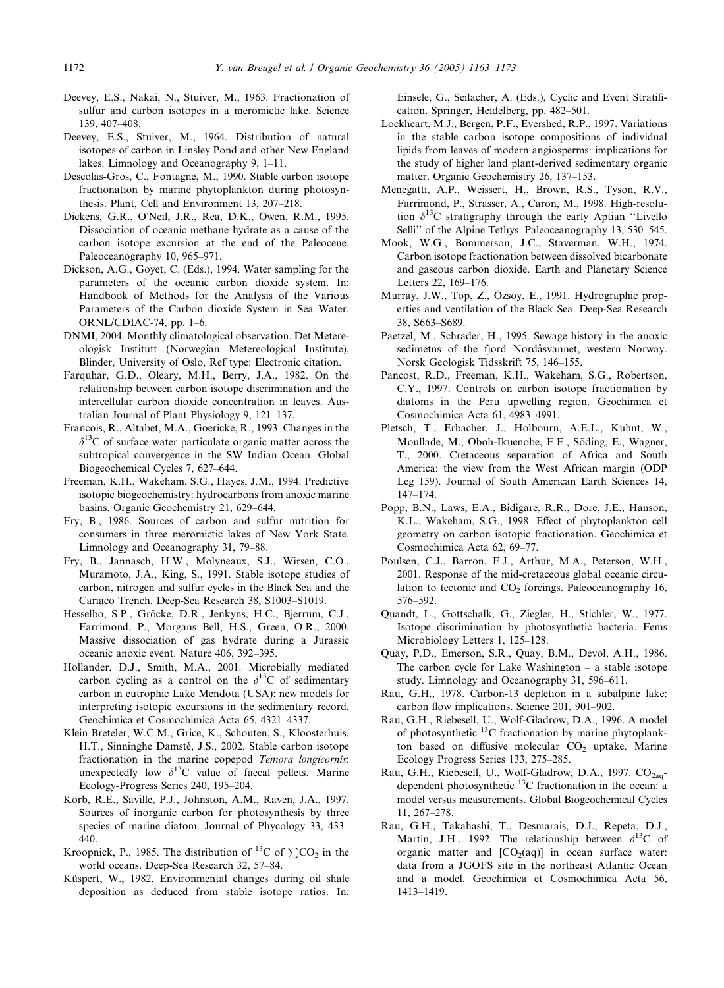- <span id="page-9-0"></span>Deevey, E.S., Nakai, N., Stuiver, M., 1963. Fractionation of sulfur and carbon isotopes in a meromictic lake. Science 139, 407–408.
- Deevey, E.S., Stuiver, M., 1964. Distribution of natural isotopes of carbon in Linsley Pond and other New England lakes. Limnology and Oceanography 9, 1–11.
- Descolas-Gros, C., Fontagne, M., 1990. Stable carbon isotope fractionation by marine phytoplankton during photosynthesis. Plant, Cell and Environment 13, 207–218.
- Dickens, G.R., ONeil, J.R., Rea, D.K., Owen, R.M., 1995. Dissociation of oceanic methane hydrate as a cause of the carbon isotope excursion at the end of the Paleocene. Paleoceanography 10, 965–971.
- Dickson, A.G., Goyet, C. (Eds.), 1994. Water sampling for the parameters of the oceanic carbon dioxide system. In: Handbook of Methods for the Analysis of the Various Parameters of the Carbon dioxide System in Sea Water. ORNL/CDIAC-74, pp. 1–6.
- DNMI, 2004. Monthly climatological observation. Det Metereologisk Institutt (Norwegian Metereological Institute), Blinder, University of Oslo, Ref type: Electronic citation.
- Farquhar, G.D., Oleary, M.H., Berry, J.A., 1982. On the relationship between carbon isotope discrimination and the intercellular carbon dioxide concentration in leaves. Australian Journal of Plant Physiology 9, 121–137.
- Francois, R., Altabet, M.A., Goericke, R., 1993. Changes in the  $\delta^{13}$ C of surface water particulate organic matter across the subtropical convergence in the SW Indian Ocean. Global Biogeochemical Cycles 7, 627–644.
- Freeman, K.H., Wakeham, S.G., Hayes, J.M., 1994. Predictive isotopic biogeochemistry: hydrocarbons from anoxic marine basins. Organic Geochemistry 21, 629–644.
- Fry, B., 1986. Sources of carbon and sulfur nutrition for consumers in three meromictic lakes of New York State. Limnology and Oceanography 31, 79–88.
- Fry, B., Jannasch, H.W., Molyneaux, S.J., Wirsen, C.O., Muramoto, J.A., King, S., 1991. Stable isotope studies of carbon, nitrogen and sulfur cycles in the Black Sea and the Cariaco Trench. Deep-Sea Research 38, S1003–S1019.
- Hesselbo, S.P., Gröcke, D.R., Jenkyns, H.C., Bjerrum, C.J., Farrimond, P., Morgans Bell, H.S., Green, O.R., 2000. Massive dissociation of gas hydrate during a Jurassic oceanic anoxic event. Nature 406, 392–395.
- Hollander, D.J., Smith, M.A., 2001. Microbially mediated carbon cycling as a control on the  $\delta^{13}$ C of sedimentary carbon in eutrophic Lake Mendota (USA): new models for interpreting isotopic excursions in the sedimentary record. Geochimica et Cosmochimica Acta 65, 4321–4337.
- Klein Breteler, W.C.M., Grice, K., Schouten, S., Kloosterhuis, H.T., Sinninghe Damsté, J.S., 2002. Stable carbon isotope fractionation in the marine copepod Temora longicornis: unexpectedly low  $\delta^{13}$ C value of faecal pellets. Marine Ecology-Progress Series 240, 195–204.
- Korb, R.E., Saville, P.J., Johnston, A.M., Raven, J.A., 1997. Sources of inorganic carbon for photosynthesis by three species of marine diatom. Journal of Phycology 33, 433– 440.
- Kroopnick, P., 1985. The distribution of <sup>13</sup>C of  $\Sigma$ CO<sub>2</sub> in the world oceans. Deep-Sea Research 32, 57–84.
- Küspert, W., 1982. Environmental changes during oil shale deposition as deduced from stable isotope ratios. In:

Einsele, G., Seilacher, A. (Eds.), Cyclic and Event Stratification. Springer, Heidelberg, pp. 482–501.

- Lockheart, M.J., Bergen, P.F., Evershed, R.P., 1997. Variations in the stable carbon isotope compositions of individual lipids from leaves of modern angiosperms: implications for the study of higher land plant-derived sedimentary organic matter. Organic Geochemistry 26, 137–153.
- Menegatti, A.P., Weissert, H., Brown, R.S., Tyson, R.V., Farrimond, P., Strasser, A., Caron, M., 1998. High-resolution  $\delta^{13}$ C stratigraphy through the early Aptian "Livello Selli'' of the Alpine Tethys. Paleoceanography 13, 530–545.
- Mook, W.G., Bommerson, J.C., Staverman, W.H., 1974. Carbon isotope fractionation between dissolved bicarbonate and gaseous carbon dioxide. Earth and Planetary Science Letters 22, 169–176.
- Murray, J.W., Top, Z., Özsoy, E., 1991. Hydrographic properties and ventilation of the Black Sea. Deep-Sea Research 38, S663–S689.
- Paetzel, M., Schrader, H., 1995. Sewage history in the anoxic sedimetns of the fjord Nordåsvannet, western Norway. Norsk Geologisk Tidsskrift 75, 146–155.
- Pancost, R.D., Freeman, K.H., Wakeham, S.G., Robertson, C.Y., 1997. Controls on carbon isotope fractionation by diatoms in the Peru upwelling region. Geochimica et Cosmochimica Acta 61, 4983–4991.
- Pletsch, T., Erbacher, J., Holbourn, A.E.L., Kuhnt, W., Moullade, M., Oboh-Ikuenobe, F.E., Söding, E., Wagner, T., 2000. Cretaceous separation of Africa and South America: the view from the West African margin (ODP Leg 159). Journal of South American Earth Sciences 14, 147–174.
- Popp, B.N., Laws, E.A., Bidigare, R.R., Dore, J.E., Hanson, K.L., Wakeham, S.G., 1998. Effect of phytoplankton cell geometry on carbon isotopic fractionation. Geochimica et Cosmochimica Acta 62, 69–77.
- Poulsen, C.J., Barron, E.J., Arthur, M.A., Peterson, W.H., 2001. Response of the mid-cretaceous global oceanic circulation to tectonic and  $CO<sub>2</sub>$  forcings. Paleoceanography 16, 576–592.
- Quandt, L., Gottschalk, G., Ziegler, H., Stichler, W., 1977. Isotope discrimination by photosynthetic bacteria. Fems Microbiology Letters 1, 125–128.
- Quay, P.D., Emerson, S.R., Quay, B.M., Devol, A.H., 1986. The carbon cycle for Lake Washington  $-$  a stable isotope study. Limnology and Oceanography 31, 596–611.
- Rau, G.H., 1978. Carbon-13 depletion in a subalpine lake: carbon flow implications. Science 201, 901–902.
- Rau, G.H., Riebesell, U., Wolf-Gladrow, D.A., 1996. A model of photosynthetic  $^{13}$ C fractionation by marine phytoplankton based on diffusive molecular  $CO<sub>2</sub>$  uptake. Marine Ecology Progress Series 133, 275–285.
- Rau, G.H., Riebesell, U., Wolf-Gladrow, D.A., 1997. CO<sub>2aq</sub>dependent photosynthetic 13C fractionation in the ocean: a model versus measurements. Global Biogeochemical Cycles 11, 267–278.
- Rau, G.H., Takahashi, T., Desmarais, D.J., Repeta, D.J., Martin, J.H., 1992. The relationship between  $\delta^{13}C$  of organic matter and  $[CO<sub>2</sub>(aq)]$  in ocean surface water: data from a JGOFS site in the northeast Atlantic Ocean and a model. Geochimica et Cosmochimica Acta 56, 1413–1419.